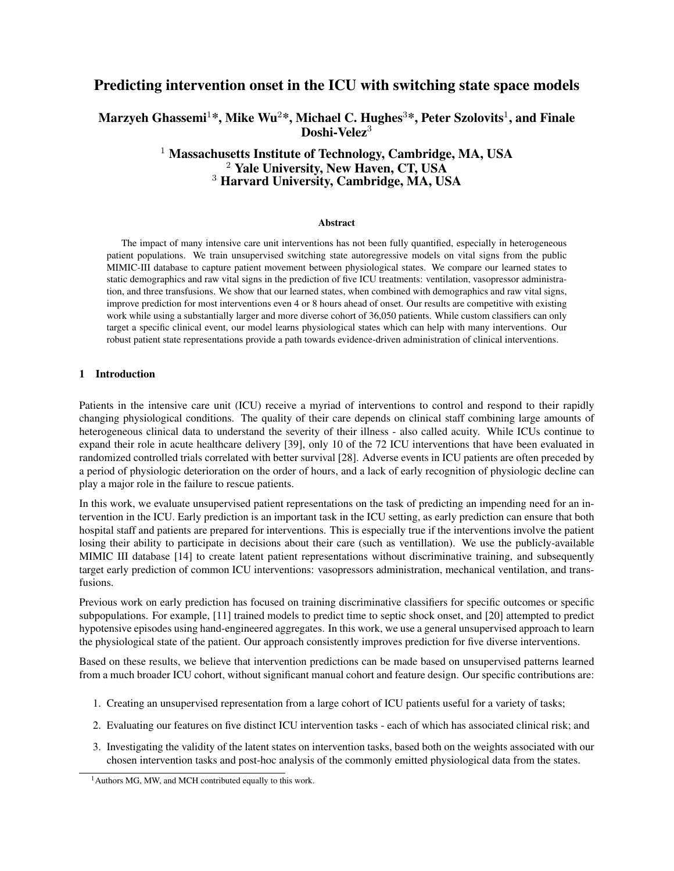# Predicting intervention onset in the ICU with switching state space models

# Marzyeh Ghassemi $^{1*}$ , Mike Wu $^{2*}$ , Michael C. Hughes $^{3*}$ , Peter Szolovits $^{1}$ , and Finale Doshi-Velez<sup>3</sup>

# <sup>1</sup> Massachusetts Institute of Technology, Cambridge, MA, USA  $2$  Yale University, New Haven, CT, USA <sup>3</sup> Harvard University, Cambridge, MA, USA

#### **Abstract**

The impact of many intensive care unit interventions has not been fully quantified, especially in heterogeneous patient populations. We train unsupervised switching state autoregressive models on vital signs from the public MIMIC-III database to capture patient movement between physiological states. We compare our learned states to static demographics and raw vital signs in the prediction of five ICU treatments: ventilation, vasopressor administration, and three transfusions. We show that our learned states, when combined with demographics and raw vital signs, improve prediction for most interventions even 4 or 8 hours ahead of onset. Our results are competitive with existing work while using a substantially larger and more diverse cohort of 36,050 patients. While custom classifiers can only target a specific clinical event, our model learns physiological states which can help with many interventions. Our robust patient state representations provide a path towards evidence-driven administration of clinical interventions.

### 1 Introduction

Patients in the intensive care unit (ICU) receive a myriad of interventions to control and respond to their rapidly changing physiological conditions. The quality of their care depends on clinical staff combining large amounts of heterogeneous clinical data to understand the severity of their illness - also called acuity. While ICUs continue to expand their role in acute healthcare delivery [39], only 10 of the 72 ICU interventions that have been evaluated in randomized controlled trials correlated with better survival [28]. Adverse events in ICU patients are often preceded by a period of physiologic deterioration on the order of hours, and a lack of early recognition of physiologic decline can play a major role in the failure to rescue patients.

In this work, we evaluate unsupervised patient representations on the task of predicting an impending need for an intervention in the ICU. Early prediction is an important task in the ICU setting, as early prediction can ensure that both hospital staff and patients are prepared for interventions. This is especially true if the interventions involve the patient losing their ability to participate in decisions about their care (such as ventillation). We use the publicly-available MIMIC III database [14] to create latent patient representations without discriminative training, and subsequently target early prediction of common ICU interventions: vasopressors administration, mechanical ventilation, and transfusions.

Previous work on early prediction has focused on training discriminative classifiers for specific outcomes or specific subpopulations. For example, [11] trained models to predict time to septic shock onset, and [20] attempted to predict hypotensive episodes using hand-engineered aggregates. In this work, we use a general unsupervised approach to learn the physiological state of the patient. Our approach consistently improves prediction for five diverse interventions.

Based on these results, we believe that intervention predictions can be made based on unsupervised patterns learned from a much broader ICU cohort, without significant manual cohort and feature design. Our specific contributions are:

- 1. Creating an unsupervised representation from a large cohort of ICU patients useful for a variety of tasks;
- 2. Evaluating our features on five distinct ICU intervention tasks each of which has associated clinical risk; and
- 3. Investigating the validity of the latent states on intervention tasks, based both on the weights associated with our chosen intervention tasks and post-hoc analysis of the commonly emitted physiological data from the states.

<sup>&</sup>lt;sup>1</sup> Authors MG, MW, and MCH contributed equally to this work.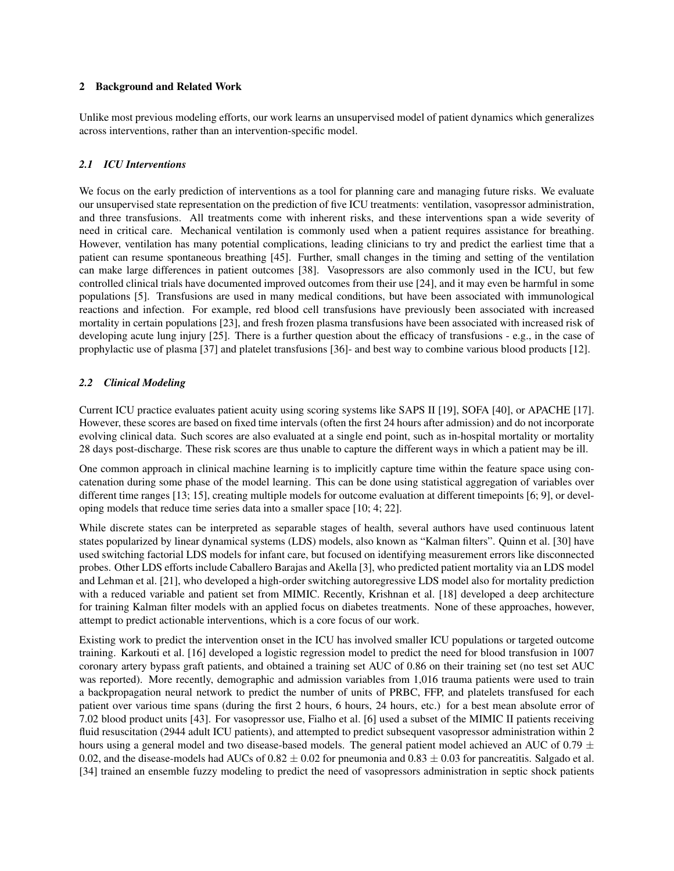### 2 Background and Related Work

Unlike most previous modeling efforts, our work learns an unsupervised model of patient dynamics which generalizes across interventions, rather than an intervention-specific model.

# *2.1 ICU Interventions*

We focus on the early prediction of interventions as a tool for planning care and managing future risks. We evaluate our unsupervised state representation on the prediction of five ICU treatments: ventilation, vasopressor administration, and three transfusions. All treatments come with inherent risks, and these interventions span a wide severity of need in critical care. Mechanical ventilation is commonly used when a patient requires assistance for breathing. However, ventilation has many potential complications, leading clinicians to try and predict the earliest time that a patient can resume spontaneous breathing [45]. Further, small changes in the timing and setting of the ventilation can make large differences in patient outcomes [38]. Vasopressors are also commonly used in the ICU, but few controlled clinical trials have documented improved outcomes from their use [24], and it may even be harmful in some populations [5]. Transfusions are used in many medical conditions, but have been associated with immunological reactions and infection. For example, red blood cell transfusions have previously been associated with increased mortality in certain populations [23], and fresh frozen plasma transfusions have been associated with increased risk of developing acute lung injury [25]. There is a further question about the efficacy of transfusions - e.g., in the case of prophylactic use of plasma [37] and platelet transfusions [36]- and best way to combine various blood products [12].

# *2.2 Clinical Modeling*

Current ICU practice evaluates patient acuity using scoring systems like SAPS II [19], SOFA [40], or APACHE [17]. However, these scores are based on fixed time intervals (often the first 24 hours after admission) and do not incorporate evolving clinical data. Such scores are also evaluated at a single end point, such as in-hospital mortality or mortality 28 days post-discharge. These risk scores are thus unable to capture the different ways in which a patient may be ill.

One common approach in clinical machine learning is to implicitly capture time within the feature space using concatenation during some phase of the model learning. This can be done using statistical aggregation of variables over different time ranges [13; 15], creating multiple models for outcome evaluation at different timepoints [6; 9], or developing models that reduce time series data into a smaller space [10; 4; 22].

While discrete states can be interpreted as separable stages of health, several authors have used continuous latent states popularized by linear dynamical systems (LDS) models, also known as "Kalman filters". Quinn et al. [30] have used switching factorial LDS models for infant care, but focused on identifying measurement errors like disconnected probes. Other LDS efforts include Caballero Barajas and Akella [3], who predicted patient mortality via an LDS model and Lehman et al. [21], who developed a high-order switching autoregressive LDS model also for mortality prediction with a reduced variable and patient set from MIMIC. Recently, Krishnan et al. [18] developed a deep architecture for training Kalman filter models with an applied focus on diabetes treatments. None of these approaches, however, attempt to predict actionable interventions, which is a core focus of our work.

Existing work to predict the intervention onset in the ICU has involved smaller ICU populations or targeted outcome training. Karkouti et al. [16] developed a logistic regression model to predict the need for blood transfusion in 1007 coronary artery bypass graft patients, and obtained a training set AUC of 0.86 on their training set (no test set AUC was reported). More recently, demographic and admission variables from 1,016 trauma patients were used to train a backpropagation neural network to predict the number of units of PRBC, FFP, and platelets transfused for each patient over various time spans (during the first 2 hours, 6 hours, 24 hours, etc.) for a best mean absolute error of 7.02 blood product units [43]. For vasopressor use, Fialho et al. [6] used a subset of the MIMIC II patients receiving fluid resuscitation (2944 adult ICU patients), and attempted to predict subsequent vasopressor administration within 2 hours using a general model and two disease-based models. The general patient model achieved an AUC of 0.79  $\pm$ 0.02, and the disease-models had AUCs of  $0.82 \pm 0.02$  for pneumonia and  $0.83 \pm 0.03$  for pancreatitis. Salgado et al. [34] trained an ensemble fuzzy modeling to predict the need of vasopressors administration in septic shock patients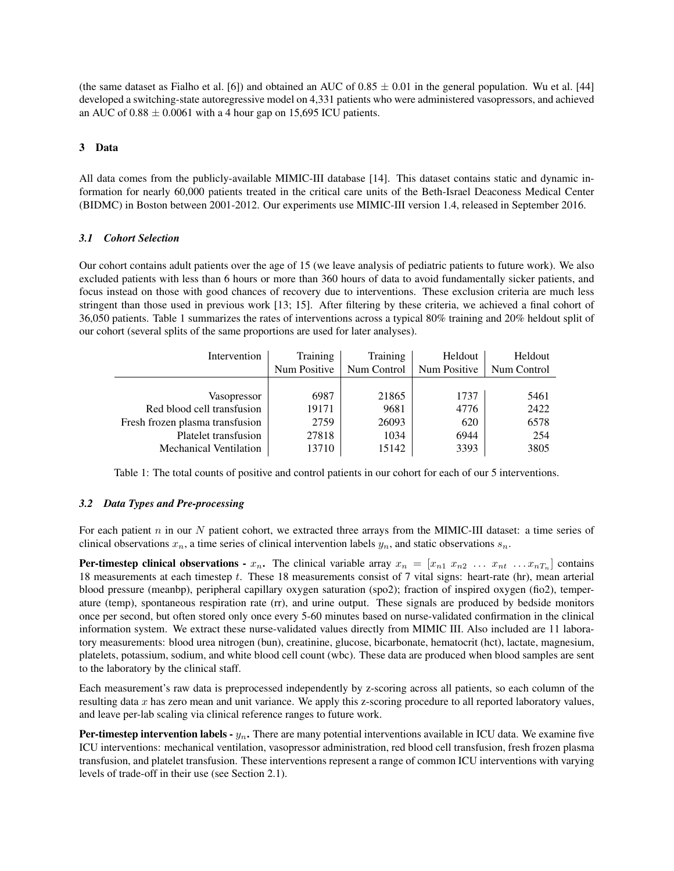(the same dataset as Fialho et al. [6]) and obtained an AUC of  $0.85 \pm 0.01$  in the general population. Wu et al. [44] developed a switching-state autoregressive model on 4,331 patients who were administered vasopressors, and achieved an AUC of  $0.88 \pm 0.0061$  with a 4 hour gap on 15,695 ICU patients.

# 3 Data

All data comes from the publicly-available MIMIC-III database [14]. This dataset contains static and dynamic information for nearly 60,000 patients treated in the critical care units of the Beth-Israel Deaconess Medical Center (BIDMC) in Boston between 2001-2012. Our experiments use MIMIC-III version 1.4, released in September 2016.

# *3.1 Cohort Selection*

Our cohort contains adult patients over the age of 15 (we leave analysis of pediatric patients to future work). We also excluded patients with less than 6 hours or more than 360 hours of data to avoid fundamentally sicker patients, and focus instead on those with good chances of recovery due to interventions. These exclusion criteria are much less stringent than those used in previous work [13; 15]. After filtering by these criteria, we achieved a final cohort of 36,050 patients. Table 1 summarizes the rates of interventions across a typical 80% training and 20% heldout split of our cohort (several splits of the same proportions are used for later analyses).

| Intervention                    | Training     | Training    | Heldout      | Heldout     |
|---------------------------------|--------------|-------------|--------------|-------------|
|                                 | Num Positive | Num Control | Num Positive | Num Control |
|                                 |              |             |              |             |
| Vasopressor                     | 6987         | 21865       | 1737         | 5461        |
| Red blood cell transfusion      | 19171        | 9681        | 4776         | 2422        |
| Fresh frozen plasma transfusion | 2759         | 26093       | 620          | 6578        |
| Platelet transfusion            | 27818        | 1034        | 6944         | 254         |
| <b>Mechanical Ventilation</b>   | 13710        | 15142       | 3393         | 3805        |

Table 1: The total counts of positive and control patients in our cohort for each of our 5 interventions.

# *3.2 Data Types and Pre-processing*

For each patient  $n$  in our  $N$  patient cohort, we extracted three arrays from the MIMIC-III dataset: a time series of clinical observations  $x_n$ , a time series of clinical intervention labels  $y_n$ , and static observations  $s_n$ .

**Per-timestep clinical observations -**  $x_n$ . The clinical variable array  $x_n = [x_{n1} \ x_{n2} \ \dots \ x_{nt} \ \dots \ x_{nT_n}]$  contains 18 measurements at each timestep t. These 18 measurements consist of 7 vital signs: heart-rate (hr), mean arterial blood pressure (meanbp), peripheral capillary oxygen saturation (spo2); fraction of inspired oxygen (fio2), temperature (temp), spontaneous respiration rate (rr), and urine output. These signals are produced by bedside monitors once per second, but often stored only once every 5-60 minutes based on nurse-validated confirmation in the clinical information system. We extract these nurse-validated values directly from MIMIC III. Also included are 11 laboratory measurements: blood urea nitrogen (bun), creatinine, glucose, bicarbonate, hematocrit (hct), lactate, magnesium, platelets, potassium, sodium, and white blood cell count (wbc). These data are produced when blood samples are sent to the laboratory by the clinical staff.

Each measurement's raw data is preprocessed independently by z-scoring across all patients, so each column of the resulting data x has zero mean and unit variance. We apply this z-scoring procedure to all reported laboratory values, and leave per-lab scaling via clinical reference ranges to future work.

**Per-timestep intervention labels -**  $y_n$ . There are many potential interventions available in ICU data. We examine five ICU interventions: mechanical ventilation, vasopressor administration, red blood cell transfusion, fresh frozen plasma transfusion, and platelet transfusion. These interventions represent a range of common ICU interventions with varying levels of trade-off in their use (see Section 2.1).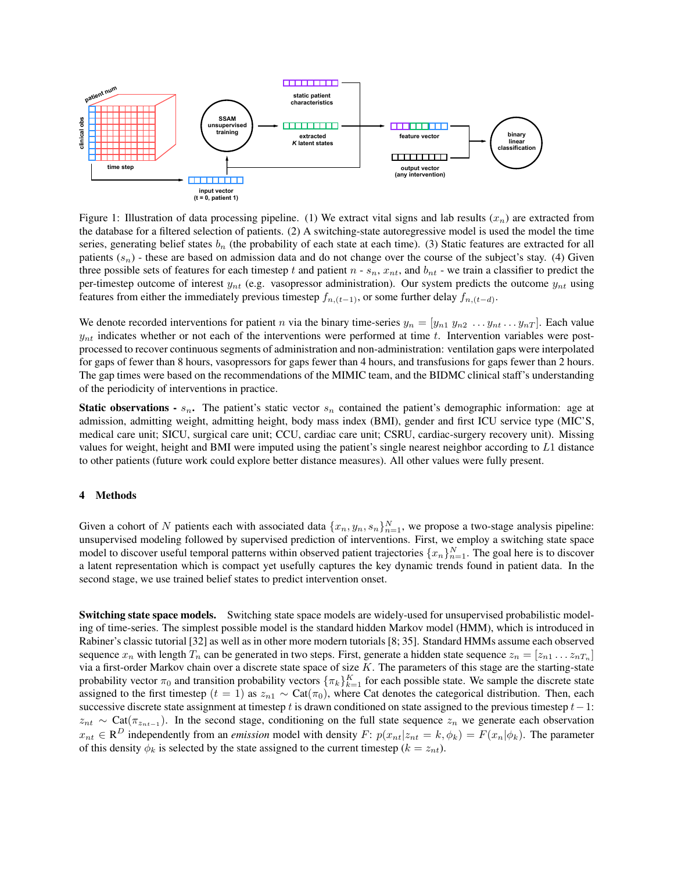

Figure 1: Illustration of data processing pipeline. (1) We extract vital signs and lab results  $(x_n)$  are extracted from the database for a filtered selection of patients. (2) A switching-state autoregressive model is used the model the time series, generating belief states  $b_n$  (the probability of each state at each time). (3) Static features are extracted for all patients  $(s_n)$  - these are based on admission data and do not change over the course of the subject's stay. (4) Given three possible sets of features for each timestep t and patient  $n - s_n$ ,  $x_{nt}$ , and  $b_{nt}$  - we train a classifier to predict the per-timestep outcome of interest  $y_{nt}$  (e.g. vasopressor administration). Our system predicts the outcome  $y_{nt}$  using features from either the immediately previous timestep  $f_{n,(t-1)}$ , or some further delay  $f_{n,(t-d)}$ .

We denote recorded interventions for patient n via the binary time-series  $y_n = [y_{n1} y_{n2} \dots y_{nt} \dots y_{nT}]$ . Each value  $y_{nt}$  indicates whether or not each of the interventions were performed at time t. Intervention variables were postprocessed to recover continuous segments of administration and non-administration: ventilation gaps were interpolated for gaps of fewer than 8 hours, vasopressors for gaps fewer than 4 hours, and transfusions for gaps fewer than 2 hours. The gap times were based on the recommendations of the MIMIC team, and the BIDMC clinical staff's understanding of the periodicity of interventions in practice.

**Static observations -**  $s_n$ . The patient's static vector  $s_n$  contained the patient's demographic information: age at admission, admitting weight, admitting height, body mass index (BMI), gender and first ICU service type (MIC'S, medical care unit; SICU, surgical care unit; CCU, cardiac care unit; CSRU, cardiac-surgery recovery unit). Missing values for weight, height and BMI were imputed using the patient's single nearest neighbor according to L1 distance to other patients (future work could explore better distance measures). All other values were fully present.

#### 4 Methods

Given a cohort of N patients each with associated data  $\{x_n, y_n, s_n\}_{n=1}^N$ , we propose a two-stage analysis pipeline: unsupervised modeling followed by supervised prediction of interventions. First, we employ a switching state space model to discover useful temporal patterns within observed patient trajectories  $\{x_n\}_{n=1}^N$ . The goal here is to discover a latent representation which is compact yet usefully captures the key dynamic trends found in patient data. In the second stage, we use trained belief states to predict intervention onset.

Switching state space models. Switching state space models are widely-used for unsupervised probabilistic modeling of time-series. The simplest possible model is the standard hidden Markov model (HMM), which is introduced in Rabiner's classic tutorial [32] as well as in other more modern tutorials [8; 35]. Standard HMMs assume each observed sequence  $x_n$  with length  $T_n$  can be generated in two steps. First, generate a hidden state sequence  $z_n = [z_{n1} \dots z_{nT_n}]$ via a first-order Markov chain over a discrete state space of size  $K$ . The parameters of this stage are the starting-state probability vector  $\pi_0$  and transition probability vectors  $\{\pi_k\}_{k=1}^K$  for each possible state. We sample the discrete state assigned to the first timestep ( $t = 1$ ) as  $z_{n1} \sim \text{Cat}(\pi_0)$ , where Cat denotes the categorical distribution. Then, each successive discrete state assignment at timestep t is drawn conditioned on state assigned to the previous timestep  $t-1$ :  $z_{nt} \sim \text{Cat}(\pi_{z_{nt-1}})$ . In the second stage, conditioning on the full state sequence  $z_n$  we generate each observation  $x_{nt} \in \mathbb{R}^D$  independently from an *emission* model with density  $F: p(x_{nt}|z_{nt} = k, \phi_k) = F(x_n|\phi_k)$ . The parameter of this density  $\phi_k$  is selected by the state assigned to the current timestep ( $k = z_{nt}$ ).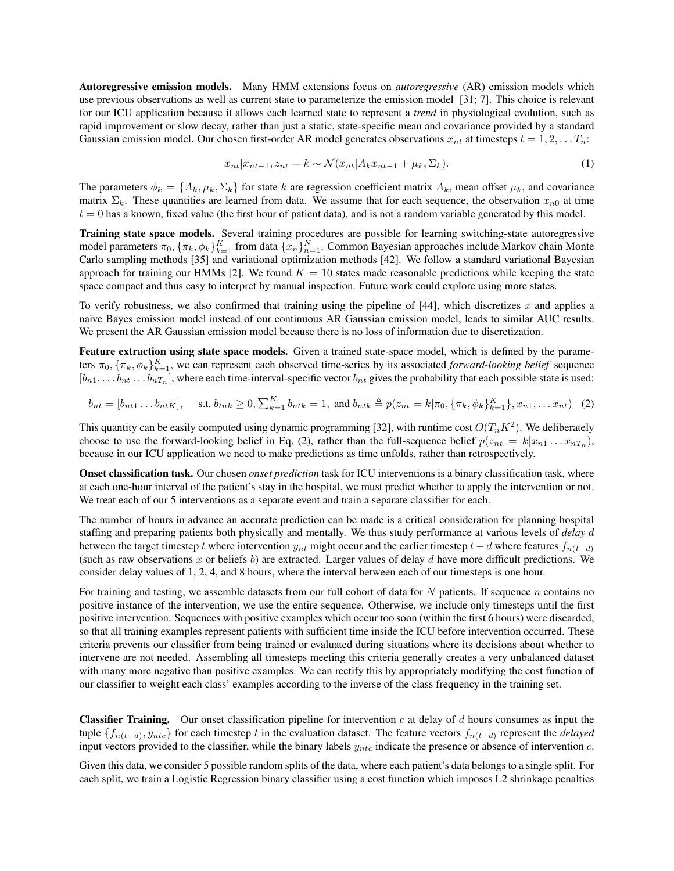Autoregressive emission models. Many HMM extensions focus on *autoregressive* (AR) emission models which use previous observations as well as current state to parameterize the emission model [31; 7]. This choice is relevant for our ICU application because it allows each learned state to represent a *trend* in physiological evolution, such as rapid improvement or slow decay, rather than just a static, state-specific mean and covariance provided by a standard Gaussian emission model. Our chosen first-order AR model generates observations  $x_{nt}$  at timesteps  $t = 1, 2, \ldots T_n$ :

$$
x_{nt}|x_{nt-1}, z_{nt} = k \sim \mathcal{N}(x_{nt}|A_k x_{nt-1} + \mu_k, \Sigma_k). \tag{1}
$$

The parameters  $\phi_k = \{A_k, \mu_k, \Sigma_k\}$  for state k are regression coefficient matrix  $A_k$ , mean offset  $\mu_k$ , and covariance matrix  $\Sigma_k$ . These quantities are learned from data. We assume that for each sequence, the observation  $x_{n0}$  at time  $t = 0$  has a known, fixed value (the first hour of patient data), and is not a random variable generated by this model.

Training state space models. Several training procedures are possible for learning switching-state autoregressive model parameters  $\pi_0$ ,  $\{\pi_k, \phi_k\}_{k=1}^K$  from data  $\{x_n\}_{n=1}^N$ . Common Bayesian approaches include Markov chain Monte Carlo sampling methods [35] and variational optimization methods [42]. We follow a standard variational Bayesian approach for training our HMMs [2]. We found  $K = 10$  states made reasonable predictions while keeping the state space compact and thus easy to interpret by manual inspection. Future work could explore using more states.

To verify robustness, we also confirmed that training using the pipeline of  $[44]$ , which discretizes x and applies a naive Bayes emission model instead of our continuous AR Gaussian emission model, leads to similar AUC results. We present the AR Gaussian emission model because there is no loss of information due to discretization.

Feature extraction using state space models. Given a trained state-space model, which is defined by the parameters  $\pi_0$ ,  $\{\pi_k, \phi_k\}_{k=1}^K$ , we can represent each observed time-series by its associated *forward-looking belief* sequence  $[b_{n1}, \ldots b_{nt} \ldots b_{nT_n}]$ , where each time-interval-specific vector  $b_{nt}$  gives the probability that each possible state is used:

$$
b_{nt} = [b_{nt1} \dots b_{ntK}], \quad \text{s.t. } b_{tnk} \ge 0, \sum_{k=1}^{K} b_{ntk} = 1, \text{ and } b_{ntk} \triangleq p(z_{nt} = k | \pi_0, \{\pi_k, \phi_k\}_{k=1}^{K}\}, x_{n1}, \dots x_{nt}) \quad (2)
$$

This quantity can be easily computed using dynamic programming [32], with runtime cost  $O(T_nK^2)$ . We deliberately choose to use the forward-looking belief in Eq. (2), rather than the full-sequence belief  $p(z_{nt} = k|x_{n1} \dots x_{nT_n})$ , because in our ICU application we need to make predictions as time unfolds, rather than retrospectively.

Onset classification task. Our chosen *onset prediction* task for ICU interventions is a binary classification task, where at each one-hour interval of the patient's stay in the hospital, we must predict whether to apply the intervention or not. We treat each of our 5 interventions as a separate event and train a separate classifier for each.

The number of hours in advance an accurate prediction can be made is a critical consideration for planning hospital staffing and preparing patients both physically and mentally. We thus study performance at various levels of *delay* d between the target timestep t where intervention  $y_{nt}$  might occur and the earlier timestep  $t - d$  where features  $f_{n(t-d)}$ (such as raw observations x or beliefs b) are extracted. Larger values of delay  $d$  have more difficult predictions. We consider delay values of 1, 2, 4, and 8 hours, where the interval between each of our timesteps is one hour.

For training and testing, we assemble datasets from our full cohort of data for  $N$  patients. If sequence  $n$  contains no positive instance of the intervention, we use the entire sequence. Otherwise, we include only timesteps until the first positive intervention. Sequences with positive examples which occur too soon (within the first 6 hours) were discarded, so that all training examples represent patients with sufficient time inside the ICU before intervention occurred. These criteria prevents our classifier from being trained or evaluated during situations where its decisions about whether to intervene are not needed. Assembling all timesteps meeting this criteria generally creates a very unbalanced dataset with many more negative than positive examples. We can rectify this by appropriately modifying the cost function of our classifier to weight each class' examples according to the inverse of the class frequency in the training set.

**Classifier Training.** Our onset classification pipeline for intervention c at delay of d hours consumes as input the tuple {fn(t−d) , yntc} for each timestep t in the evaluation dataset. The feature vectors fn(t−d) represent the *delayed* input vectors provided to the classifier, while the binary labels  $y_{ntc}$  indicate the presence or absence of intervention c.

Given this data, we consider 5 possible random splits of the data, where each patient's data belongs to a single split. For each split, we train a Logistic Regression binary classifier using a cost function which imposes L2 shrinkage penalties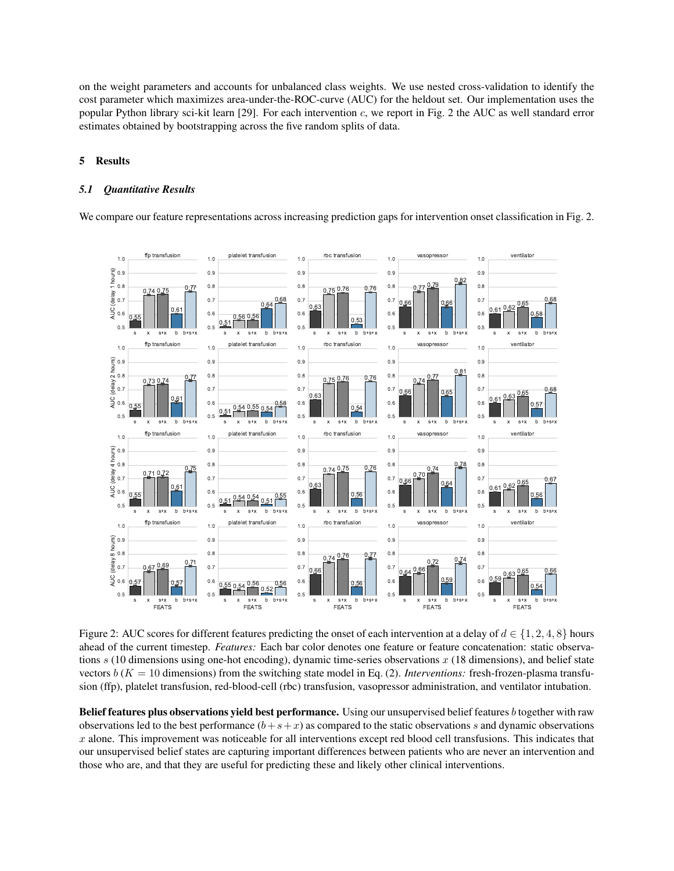on the weight parameters and accounts for unbalanced class weights. We use nested cross-validation to identify the cost parameter which maximizes area-under-the-ROC-curve (AUC) for the heldout set. Our implementation uses the popular Python library sci-kit learn [29]. For each intervention c, we report in Fig. 2 the AUC as well standard error estimates obtained by bootstrapping across the five random splits of data.

#### 5 Results

#### *5.1 Quantitative Results*

We compare our feature representations across increasing prediction gaps for intervention onset classification in Fig. 2.



Figure 2: AUC scores for different features predicting the onset of each intervention at a delay of  $d \in \{1, 2, 4, 8\}$  hours ahead of the current timestep. *Features:* Each bar color denotes one feature or feature concatenation: static observations  $s$  (10 dimensions using one-hot encoding), dynamic time-series observations  $x$  (18 dimensions), and belief state vectors  $b(K = 10$  dimensions) from the switching state model in Eq. (2). *Interventions:* fresh-frozen-plasma transfusion (ffp), platelet transfusion, red-blood-cell (rbc) transfusion, vasopressor administration, and ventilator intubation.

Belief features plus observations yield best performance. Using our unsupervised belief features b together with raw observations led to the best performance  $(b+s+x)$  as compared to the static observations s and dynamic observations  $x$  alone. This improvement was noticeable for all interventions except red blood cell transfusions. This indicates that our unsupervised belief states are capturing important differences between patients who are never an intervention and those who are, and that they are useful for predicting these and likely other clinical interventions.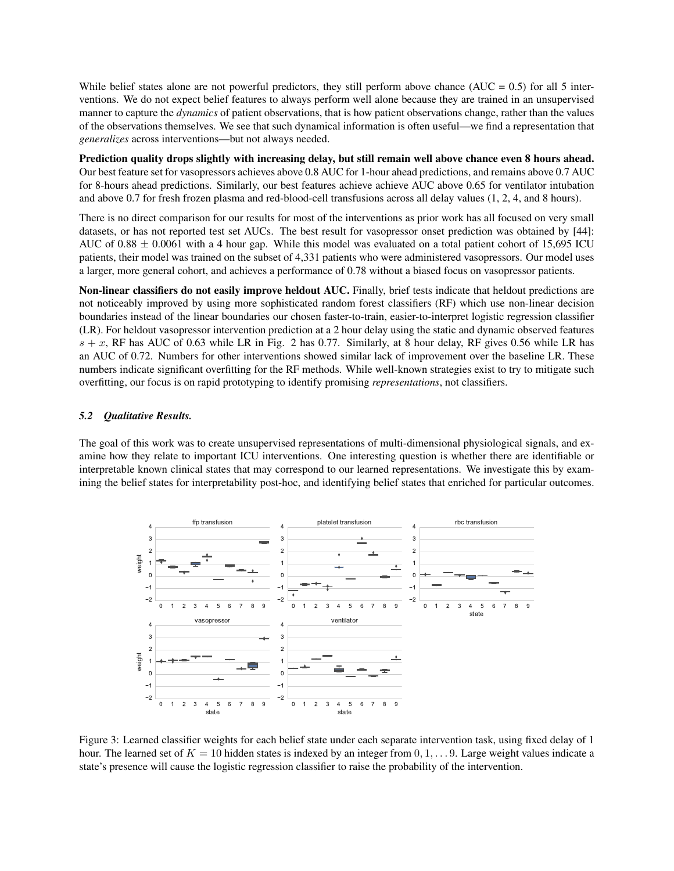While belief states alone are not powerful predictors, they still perform above chance ( $AUC = 0.5$ ) for all 5 interventions. We do not expect belief features to always perform well alone because they are trained in an unsupervised manner to capture the *dynamics* of patient observations, that is how patient observations change, rather than the values of the observations themselves. We see that such dynamical information is often useful—we find a representation that *generalizes* across interventions—but not always needed.

Prediction quality drops slightly with increasing delay, but still remain well above chance even 8 hours ahead. Our best feature set for vasopressors achieves above 0.8 AUC for 1-hour ahead predictions, and remains above 0.7 AUC for 8-hours ahead predictions. Similarly, our best features achieve achieve AUC above 0.65 for ventilator intubation and above 0.7 for fresh frozen plasma and red-blood-cell transfusions across all delay values (1, 2, 4, and 8 hours).

There is no direct comparison for our results for most of the interventions as prior work has all focused on very small datasets, or has not reported test set AUCs. The best result for vasopressor onset prediction was obtained by [44]: AUC of  $0.88 \pm 0.0061$  with a 4 hour gap. While this model was evaluated on a total patient cohort of 15,695 ICU patients, their model was trained on the subset of 4,331 patients who were administered vasopressors. Our model uses a larger, more general cohort, and achieves a performance of 0.78 without a biased focus on vasopressor patients.

Non-linear classifiers do not easily improve heldout AUC. Finally, brief tests indicate that heldout predictions are not noticeably improved by using more sophisticated random forest classifiers (RF) which use non-linear decision boundaries instead of the linear boundaries our chosen faster-to-train, easier-to-interpret logistic regression classifier (LR). For heldout vasopressor intervention prediction at a 2 hour delay using the static and dynamic observed features  $s + x$ , RF has AUC of 0.63 while LR in Fig. 2 has 0.77. Similarly, at 8 hour delay, RF gives 0.56 while LR has an AUC of 0.72. Numbers for other interventions showed similar lack of improvement over the baseline LR. These numbers indicate significant overfitting for the RF methods. While well-known strategies exist to try to mitigate such overfitting, our focus is on rapid prototyping to identify promising *representations*, not classifiers.

### *5.2 Qualitative Results.*

The goal of this work was to create unsupervised representations of multi-dimensional physiological signals, and examine how they relate to important ICU interventions. One interesting question is whether there are identifiable or interpretable known clinical states that may correspond to our learned representations. We investigate this by examining the belief states for interpretability post-hoc, and identifying belief states that enriched for particular outcomes.



Figure 3: Learned classifier weights for each belief state under each separate intervention task, using fixed delay of 1 hour. The learned set of  $K = 10$  hidden states is indexed by an integer from  $0, 1, \ldots, 9$ . Large weight values indicate a state's presence will cause the logistic regression classifier to raise the probability of the intervention.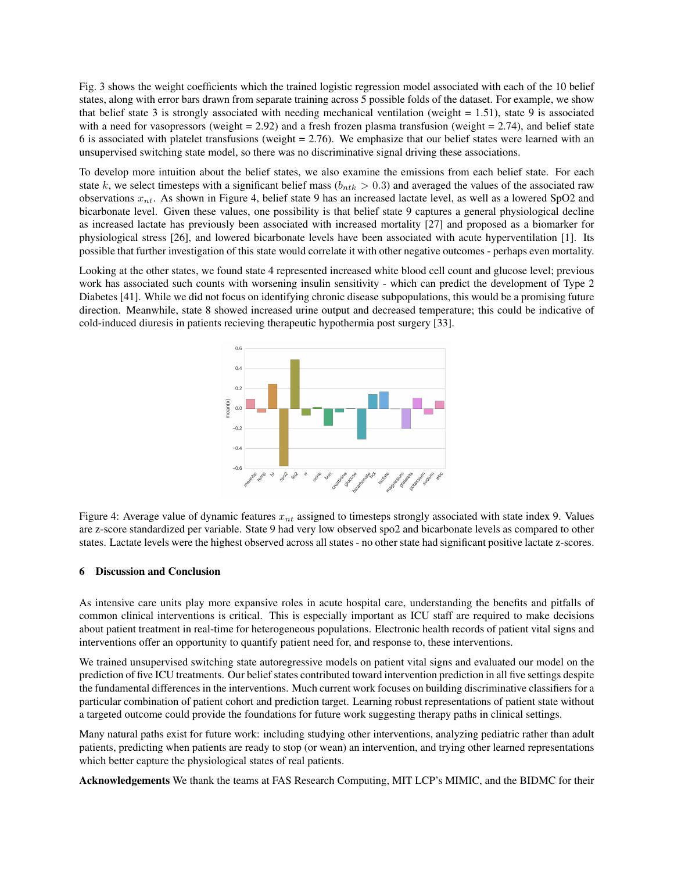Fig. 3 shows the weight coefficients which the trained logistic regression model associated with each of the 10 belief states, along with error bars drawn from separate training across 5 possible folds of the dataset. For example, we show that belief state 3 is strongly associated with needing mechanical ventilation (weight  $= 1.51$ ), state 9 is associated with a need for vasopressors (weight  $= 2.92$ ) and a fresh frozen plasma transfusion (weight  $= 2.74$ ), and belief state 6 is associated with platelet transfusions (weight = 2.76). We emphasize that our belief states were learned with an unsupervised switching state model, so there was no discriminative signal driving these associations.

To develop more intuition about the belief states, we also examine the emissions from each belief state. For each state k, we select timesteps with a significant belief mass ( $b_{ntk} > 0.3$ ) and averaged the values of the associated raw observations  $x_{nt}$ . As shown in Figure 4, belief state 9 has an increased lactate level, as well as a lowered SpO2 and bicarbonate level. Given these values, one possibility is that belief state 9 captures a general physiological decline as increased lactate has previously been associated with increased mortality [27] and proposed as a biomarker for physiological stress [26], and lowered bicarbonate levels have been associated with acute hyperventilation [1]. Its possible that further investigation of this state would correlate it with other negative outcomes - perhaps even mortality.

Looking at the other states, we found state 4 represented increased white blood cell count and glucose level; previous work has associated such counts with worsening insulin sensitivity - which can predict the development of Type 2 Diabetes [41]. While we did not focus on identifying chronic disease subpopulations, this would be a promising future direction. Meanwhile, state 8 showed increased urine output and decreased temperature; this could be indicative of cold-induced diuresis in patients recieving therapeutic hypothermia post surgery [33].



Figure 4: Average value of dynamic features  $x_{nt}$  assigned to timesteps strongly associated with state index 9. Values are z-score standardized per variable. State 9 had very low observed spo2 and bicarbonate levels as compared to other states. Lactate levels were the highest observed across all states - no other state had significant positive lactate z-scores.

### 6 Discussion and Conclusion

As intensive care units play more expansive roles in acute hospital care, understanding the benefits and pitfalls of common clinical interventions is critical. This is especially important as ICU staff are required to make decisions about patient treatment in real-time for heterogeneous populations. Electronic health records of patient vital signs and interventions offer an opportunity to quantify patient need for, and response to, these interventions.

We trained unsupervised switching state autoregressive models on patient vital signs and evaluated our model on the prediction of five ICU treatments. Our belief states contributed toward intervention prediction in all five settings despite the fundamental differences in the interventions. Much current work focuses on building discriminative classifiers for a particular combination of patient cohort and prediction target. Learning robust representations of patient state without a targeted outcome could provide the foundations for future work suggesting therapy paths in clinical settings.

Many natural paths exist for future work: including studying other interventions, analyzing pediatric rather than adult patients, predicting when patients are ready to stop (or wean) an intervention, and trying other learned representations which better capture the physiological states of real patients.

Acknowledgements We thank the teams at FAS Research Computing, MIT LCP's MIMIC, and the BIDMC for their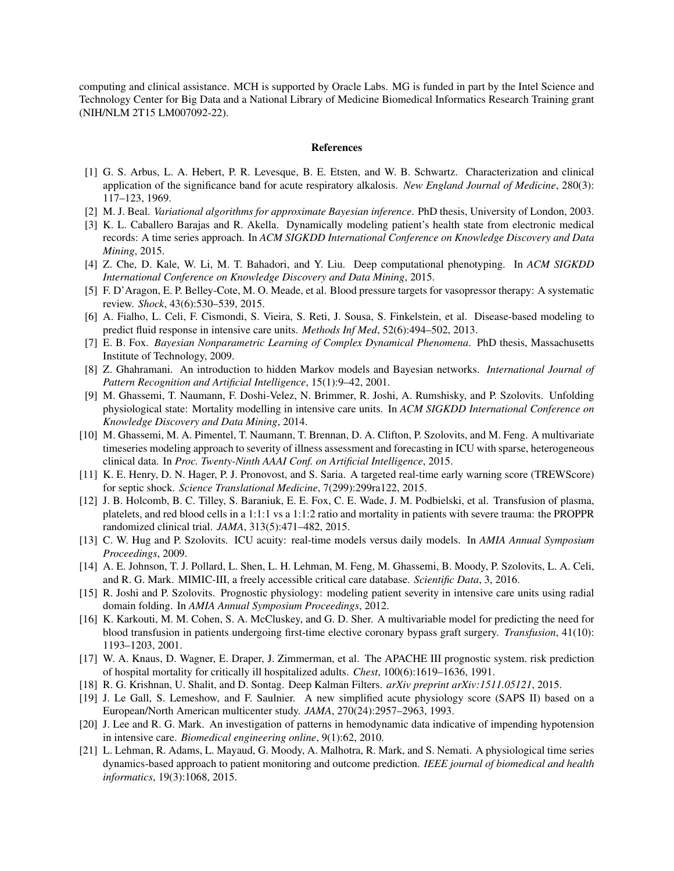computing and clinical assistance. MCH is supported by Oracle Labs. MG is funded in part by the Intel Science and Technology Center for Big Data and a National Library of Medicine Biomedical Informatics Research Training grant (NIH/NLM 2T15 LM007092-22).

#### **References**

- [1] G. S. Arbus, L. A. Hebert, P. R. Levesque, B. E. Etsten, and W. B. Schwartz. Characterization and clinical application of the significance band for acute respiratory alkalosis. *New England Journal of Medicine*, 280(3): 117–123, 1969.
- [2] M. J. Beal. *Variational algorithms for approximate Bayesian inference*. PhD thesis, University of London, 2003.
- [3] K. L. Caballero Barajas and R. Akella. Dynamically modeling patient's health state from electronic medical records: A time series approach. In *ACM SIGKDD International Conference on Knowledge Discovery and Data Mining*, 2015.
- [4] Z. Che, D. Kale, W. Li, M. T. Bahadori, and Y. Liu. Deep computational phenotyping. In *ACM SIGKDD International Conference on Knowledge Discovery and Data Mining*, 2015.
- [5] F. D'Aragon, E. P. Belley-Cote, M. O. Meade, et al. Blood pressure targets for vasopressor therapy: A systematic review. *Shock*, 43(6):530–539, 2015.
- [6] A. Fialho, L. Celi, F. Cismondi, S. Vieira, S. Reti, J. Sousa, S. Finkelstein, et al. Disease-based modeling to predict fluid response in intensive care units. *Methods Inf Med*, 52(6):494–502, 2013.
- [7] E. B. Fox. *Bayesian Nonparametric Learning of Complex Dynamical Phenomena*. PhD thesis, Massachusetts Institute of Technology, 2009.
- [8] Z. Ghahramani. An introduction to hidden Markov models and Bayesian networks. *International Journal of Pattern Recognition and Artificial Intelligence*, 15(1):9–42, 2001.
- [9] M. Ghassemi, T. Naumann, F. Doshi-Velez, N. Brimmer, R. Joshi, A. Rumshisky, and P. Szolovits. Unfolding physiological state: Mortality modelling in intensive care units. In *ACM SIGKDD International Conference on Knowledge Discovery and Data Mining*, 2014.
- [10] M. Ghassemi, M. A. Pimentel, T. Naumann, T. Brennan, D. A. Clifton, P. Szolovits, and M. Feng. A multivariate timeseries modeling approach to severity of illness assessment and forecasting in ICU with sparse, heterogeneous clinical data. In *Proc. Twenty-Ninth AAAI Conf. on Artificial Intelligence*, 2015.
- [11] K. E. Henry, D. N. Hager, P. J. Pronovost, and S. Saria. A targeted real-time early warning score (TREWScore) for septic shock. *Science Translational Medicine*, 7(299):299ra122, 2015.
- [12] J. B. Holcomb, B. C. Tilley, S. Baraniuk, E. E. Fox, C. E. Wade, J. M. Podbielski, et al. Transfusion of plasma, platelets, and red blood cells in a 1:1:1 vs a 1:1:2 ratio and mortality in patients with severe trauma: the PROPPR randomized clinical trial. *JAMA*, 313(5):471–482, 2015.
- [13] C. W. Hug and P. Szolovits. ICU acuity: real-time models versus daily models. In *AMIA Annual Symposium Proceedings*, 2009.
- [14] A. E. Johnson, T. J. Pollard, L. Shen, L. H. Lehman, M. Feng, M. Ghassemi, B. Moody, P. Szolovits, L. A. Celi, and R. G. Mark. MIMIC-III, a freely accessible critical care database. *Scientific Data*, 3, 2016.
- [15] R. Joshi and P. Szolovits. Prognostic physiology: modeling patient severity in intensive care units using radial domain folding. In *AMIA Annual Symposium Proceedings*, 2012.
- [16] K. Karkouti, M. M. Cohen, S. A. McCluskey, and G. D. Sher. A multivariable model for predicting the need for blood transfusion in patients undergoing first-time elective coronary bypass graft surgery. *Transfusion*, 41(10): 1193–1203, 2001.
- [17] W. A. Knaus, D. Wagner, E. Draper, J. Zimmerman, et al. The APACHE III prognostic system. risk prediction of hospital mortality for critically ill hospitalized adults. *Chest*, 100(6):1619–1636, 1991.
- [18] R. G. Krishnan, U. Shalit, and D. Sontag. Deep Kalman Filters. *arXiv preprint arXiv:1511.05121*, 2015.
- [19] J. Le Gall, S. Lemeshow, and F. Saulnier. A new simplified acute physiology score (SAPS II) based on a European/North American multicenter study. *JAMA*, 270(24):2957–2963, 1993.
- [20] J. Lee and R. G. Mark. An investigation of patterns in hemodynamic data indicative of impending hypotension in intensive care. *Biomedical engineering online*, 9(1):62, 2010.
- [21] L. Lehman, R. Adams, L. Mayaud, G. Moody, A. Malhotra, R. Mark, and S. Nemati. A physiological time series dynamics-based approach to patient monitoring and outcome prediction. *IEEE journal of biomedical and health informatics*, 19(3):1068, 2015.